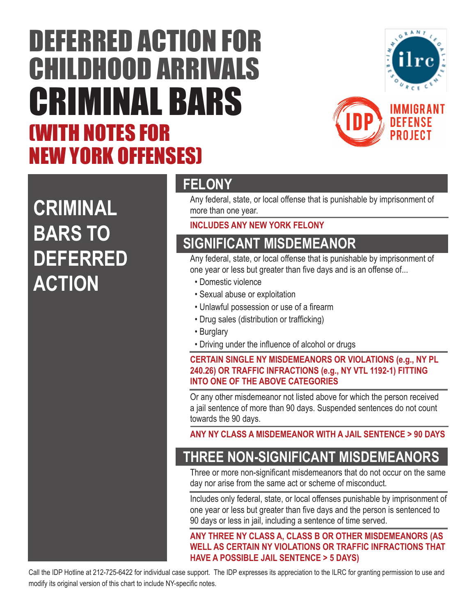# DEFERRED ACTION FOR CHILDHOOD ARRIVALS CRIMINAL BARS (WITH NOTES FOR NEW YORK OFFENSES)





## **CRIMINAL BARS TO DEFERRED ACTION**

#### **FELONY**

Any federal, state, or local offense that is punishable by imprisonment of more than one year.

#### **INCLUDES ANY NEW YORK FELONY**

### **SIGNIFICANT MISDEMEANOR**

Any federal, state, or local offense that is punishable by imprisonment of one year or less but greater than five days and is an offense of...

- Domestic violence
- Sexual abuse or exploitation
- Unlawful possession or use of a firearm
- Drug sales (distribution or trafficking)
- Burglary
- Driving under the influence of alcohol or drugs

#### **CERTAIN SINGLE NY MISDEMEANORS OR VIOLATIONS (e.g., NY PL 240.26) OR TRAFFIC INFRACTIONS (e.g., NY VTL 1192-1) FITTING INTO ONE OF THE ABOVE CATEGORIES**

Or any other misdemeanor not listed above for which the person received a jail sentence of more than 90 days. Suspended sentences do not count towards the 90 days.

**ANY NY CLASS A MISDEMEANOR WITH A JAIL SENTENCE > 90 DAYS**

#### **THREE NON-SIGNIFICANT MISDEMEANORS**

Three or more non-significant misdemeanors that do not occur on the same day nor arise from the same act or scheme of misconduct.

Includes only federal, state, or local offenses punishable by imprisonment of one year or less but greater than five days and the person is sentenced to 90 days or less in jail, including a sentence of time served.

**ANY THREE NY CLASS A, CLASS B OR OTHER MISDEMEANORS (AS WELL AS CERTAIN NY VIOLATIONS OR TRAFFIC INFRACTIONS THAT HAVE A POSSIBLE JAIL SENTENCE > 5 DAYS)**

Call the IDP Hotline at 212-725-6422 for individual case support. The IDP expresses its appreciation to the ILRC for granting permission to use and modify its original version of this chart to include NY-specific notes.